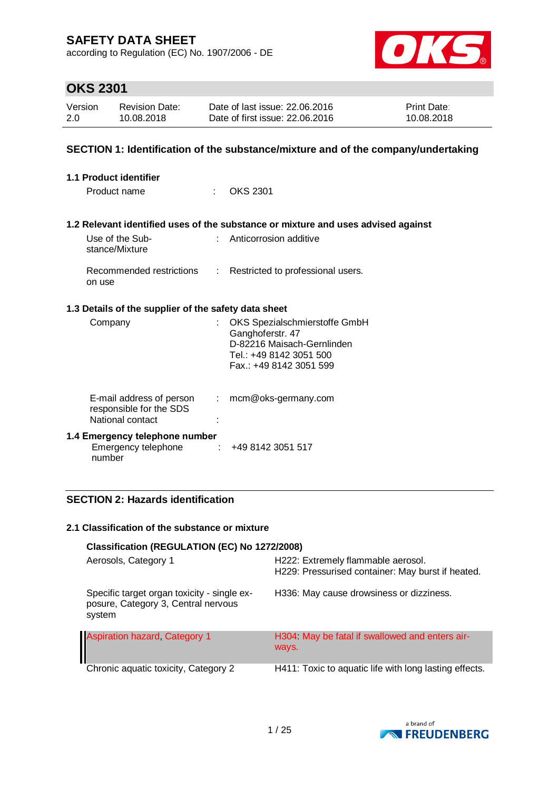according to Regulation (EC) No. 1907/2006 - DE



# **OKS 2301**

| Version | <b>Revision Date:</b> | Date of last issue: 22,06,2016  | <b>Print Date:</b> |
|---------|-----------------------|---------------------------------|--------------------|
| 2.0     | 10.08.2018            | Date of first issue: 22,06,2016 | 10.08.2018         |

### **SECTION 1: Identification of the substance/mixture and of the company/undertaking**

| 1.1 Product identifier                                                  |    |                                                                                                                                       |
|-------------------------------------------------------------------------|----|---------------------------------------------------------------------------------------------------------------------------------------|
| Product name                                                            | ÷. | <b>OKS 2301</b>                                                                                                                       |
|                                                                         |    |                                                                                                                                       |
|                                                                         |    | 1.2 Relevant identified uses of the substance or mixture and uses advised against                                                     |
| Use of the Sub-<br>stance/Mixture                                       |    | : Anticorrosion additive                                                                                                              |
| Recommended restrictions :<br>on use                                    |    | Restricted to professional users.                                                                                                     |
| 1.3 Details of the supplier of the safety data sheet                    |    |                                                                                                                                       |
| Company                                                                 |    | OKS Spezialschmierstoffe GmbH<br>Ganghoferstr. 47<br>D-82216 Maisach-Gernlinden<br>Tel.: +49 8142 3051 500<br>Fax.: +49 8142 3051 599 |
| E-mail address of person<br>responsible for the SDS<br>National contact | ÷. | mcm@oks-germany.com                                                                                                                   |
| 1.4 Emergency telephone number<br>Emergency telephone<br>number         |    | $\div$ +49 8142 3051 517                                                                                                              |

## **SECTION 2: Hazards identification**

#### **2.1 Classification of the substance or mixture**

| Classification (REGULATION (EC) No 1272/2008)                                                |                                                                                         |  |  |  |
|----------------------------------------------------------------------------------------------|-----------------------------------------------------------------------------------------|--|--|--|
| Aerosols, Category 1                                                                         | H222: Extremely flammable aerosol.<br>H229: Pressurised container: May burst if heated. |  |  |  |
| Specific target organ toxicity - single ex-<br>posure, Category 3, Central nervous<br>system | H336: May cause drowsiness or dizziness.                                                |  |  |  |
| <b>Aspiration hazard, Category 1</b>                                                         | H304 May be fatal if swallowed and enters air-<br>ways.                                 |  |  |  |
| Chronic aquatic toxicity, Category 2                                                         | H411: Toxic to aquatic life with long lasting effects.                                  |  |  |  |

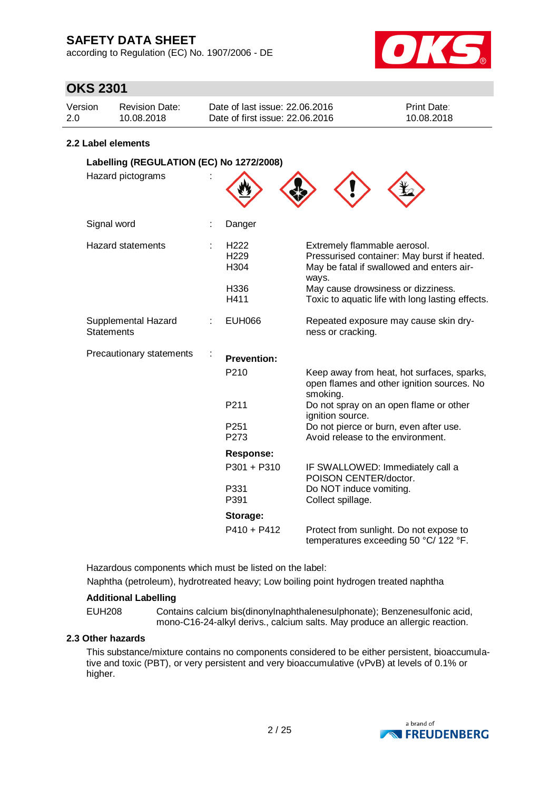according to Regulation (EC) No. 1907/2006 - DE



## **OKS 2301**

| Version | Revision Date: | Date of last issue: 22,06,2016  | <b>Print Date:</b> |
|---------|----------------|---------------------------------|--------------------|
| 2.0     | 10.08.2018     | Date of first issue: 22,06,2016 | 10.08.2018         |

### **2.2 Label elements**

| Labelling (REGULATION (EC) No 1272/2008) |  |                                                                          |                                                                                                                                                                                                                             |
|------------------------------------------|--|--------------------------------------------------------------------------|-----------------------------------------------------------------------------------------------------------------------------------------------------------------------------------------------------------------------------|
| Hazard pictograms                        |  |                                                                          |                                                                                                                                                                                                                             |
| Signal word                              |  | Danger                                                                   |                                                                                                                                                                                                                             |
| <b>Hazard statements</b>                 |  | H <sub>222</sub><br>H <sub>229</sub><br>H <sub>304</sub><br>H336<br>H411 | Extremely flammable aerosol.<br>Pressurised container: May burst if heated.<br>May be fatal if swallowed and enters air-<br>ways.<br>May cause drowsiness or dizziness.<br>Toxic to aquatic life with long lasting effects. |
| Supplemental Hazard<br><b>Statements</b> |  | <b>EUH066</b>                                                            | Repeated exposure may cause skin dry-<br>ness or cracking.                                                                                                                                                                  |
| Precautionary statements                 |  | <b>Prevention:</b>                                                       |                                                                                                                                                                                                                             |
|                                          |  | P210                                                                     | Keep away from heat, hot surfaces, sparks,<br>open flames and other ignition sources. No<br>smoking.                                                                                                                        |
|                                          |  | P211                                                                     | Do not spray on an open flame or other<br>ignition source.                                                                                                                                                                  |
|                                          |  | P <sub>251</sub><br>P273                                                 | Do not pierce or burn, even after use.<br>Avoid release to the environment.                                                                                                                                                 |
|                                          |  | <b>Response:</b>                                                         |                                                                                                                                                                                                                             |
|                                          |  | P301 + P310                                                              | IF SWALLOWED: Immediately call a<br>POISON CENTER/doctor.                                                                                                                                                                   |
|                                          |  | P331<br>P391                                                             | Do NOT induce vomiting.<br>Collect spillage.                                                                                                                                                                                |
|                                          |  | Storage:                                                                 |                                                                                                                                                                                                                             |
|                                          |  | $P410 + P412$                                                            | Protect from sunlight. Do not expose to<br>temperatures exceeding 50 °C/ 122 °F.                                                                                                                                            |

Hazardous components which must be listed on the label: Naphtha (petroleum), hydrotreated heavy; Low boiling point hydrogen treated naphtha

## **Additional Labelling**

EUH208 Contains calcium bis(dinonylnaphthalenesulphonate); Benzenesulfonic acid,

mono-C16-24-alkyl derivs., calcium salts. May produce an allergic reaction.

## **2.3 Other hazards**

This substance/mixture contains no components considered to be either persistent, bioaccumulative and toxic (PBT), or very persistent and very bioaccumulative (vPvB) at levels of 0.1% or higher.

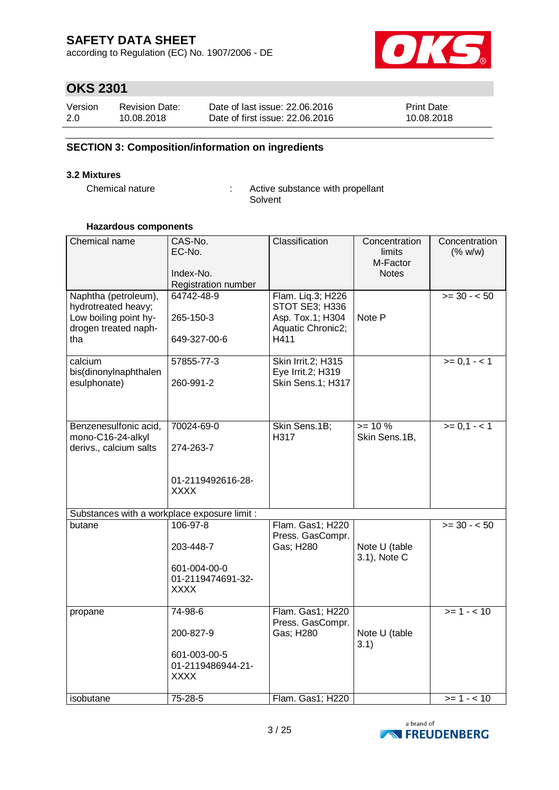according to Regulation (EC) No. 1907/2006 - DE



# **OKS 2301**

| Version | <b>Revision Date:</b> | Date of last issue: 22,06,2016  | <b>Print Date:</b> |
|---------|-----------------------|---------------------------------|--------------------|
| 2.0     | 10.08.2018            | Date of first issue: 22,06,2016 | 10.08.2018         |

## **SECTION 3: Composition/information on ingredients**

#### **3.2 Mixtures**

Chemical nature : Active substance with propellant Solvent

### **Hazardous components**

| Chemical name                                                                                       | CAS-No.<br>EC-No.<br>Index-No.<br>Registration number                     | Classification                                                                       | Concentration<br>limits<br>M-Factor<br><b>Notes</b> | Concentration<br>(% w/w) |
|-----------------------------------------------------------------------------------------------------|---------------------------------------------------------------------------|--------------------------------------------------------------------------------------|-----------------------------------------------------|--------------------------|
| Naphtha (petroleum),<br>hydrotreated heavy;<br>Low boiling point hy-<br>drogen treated naph-<br>tha | 64742-48-9<br>265-150-3<br>649-327-00-6                                   | Flam. Liq.3; H226<br>STOT SE3; H336<br>Asp. Tox.1; H304<br>Aquatic Chronic2;<br>H411 | Note P                                              | $>= 30 - 50$             |
| calcium<br>bis(dinonylnaphthalen<br>esulphonate)                                                    | 57855-77-3<br>260-991-2                                                   | Skin Irrit.2; H315<br>Eye Irrit.2; H319<br>Skin Sens.1; H317                         |                                                     | $>= 0, 1 - 1$            |
| Benzenesulfonic acid,<br>mono-C16-24-alkyl<br>derivs., calcium salts                                | 70024-69-0<br>274-263-7<br>01-2119492616-28-<br><b>XXXX</b>               | Skin Sens.1B;<br>H317                                                                | $>= 10 \%$<br>Skin Sens.1B,                         | $>= 0, 1 - 1$            |
| Substances with a workplace exposure limit :                                                        |                                                                           |                                                                                      |                                                     |                          |
| butane                                                                                              | 106-97-8<br>203-448-7<br>601-004-00-0<br>01-2119474691-32-<br><b>XXXX</b> | Flam. Gas1; H220<br>Press. GasCompr.<br>Gas; H280                                    | Note U (table<br>3.1), Note C                       | $>= 30 - 50$             |
| propane                                                                                             | 74-98-6<br>200-827-9<br>601-003-00-5<br>01-2119486944-21-<br><b>XXXX</b>  | Flam. Gas1; H220<br>Press. GasCompr.<br>Gas; H280                                    | Note U (table<br>3.1)                               | $>= 1 - 10$              |
| isobutane                                                                                           | 75-28-5                                                                   | Flam. Gas1; H220                                                                     |                                                     | $>= 1 - 10$              |

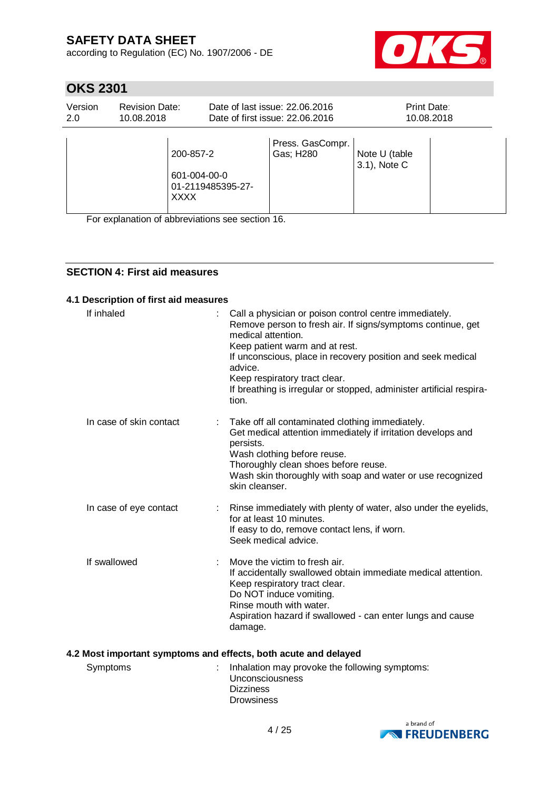according to Regulation (EC) No. 1907/2006 - DE



# **OKS 2301**

| Version<br>2.0 | <b>Revision Date:</b><br>10.08.2018 |                                          |                   | Date of last issue: 22.06.2016<br>Date of first issue: 22.06.2016 | Print Date:                   | 10.08.2018 |
|----------------|-------------------------------------|------------------------------------------|-------------------|-------------------------------------------------------------------|-------------------------------|------------|
|                |                                     | 200-857-2<br>601-004-00-0<br><b>XXXX</b> | 01-2119485395-27- | Press. GasCompr.<br>Gas; H280                                     | Note U (table<br>3.1), Note C |            |

For explanation of abbreviations see section 16.

## **SECTION 4: First aid measures**

### **4.1 Description of first aid measures**

| If inhaled              | Call a physician or poison control centre immediately.<br>Remove person to fresh air. If signs/symptoms continue, get<br>medical attention.<br>Keep patient warm and at rest.<br>If unconscious, place in recovery position and seek medical<br>advice.<br>Keep respiratory tract clear.<br>If breathing is irregular or stopped, administer artificial respira-<br>tion. |
|-------------------------|---------------------------------------------------------------------------------------------------------------------------------------------------------------------------------------------------------------------------------------------------------------------------------------------------------------------------------------------------------------------------|
| In case of skin contact | Take off all contaminated clothing immediately.<br>Get medical attention immediately if irritation develops and<br>persists.<br>Wash clothing before reuse.<br>Thoroughly clean shoes before reuse.<br>Wash skin thoroughly with soap and water or use recognized<br>skin cleanser.                                                                                       |
| In case of eye contact  | Rinse immediately with plenty of water, also under the eyelids,<br>for at least 10 minutes.<br>If easy to do, remove contact lens, if worn.<br>Seek medical advice.                                                                                                                                                                                                       |
| If swallowed            | Move the victim to fresh air.<br>If accidentally swallowed obtain immediate medical attention.<br>Keep respiratory tract clear.<br>Do NOT induce vomiting.<br>Rinse mouth with water.<br>Aspiration hazard if swallowed - can enter lungs and cause<br>damage.                                                                                                            |

## **4.2 Most important symptoms and effects, both acute and delayed**

| Symptoms | Inhalation may provoke the following symptoms: |
|----------|------------------------------------------------|
|          | Unconsciousness                                |
|          | <b>Dizziness</b>                               |
|          | <b>Drowsiness</b>                              |

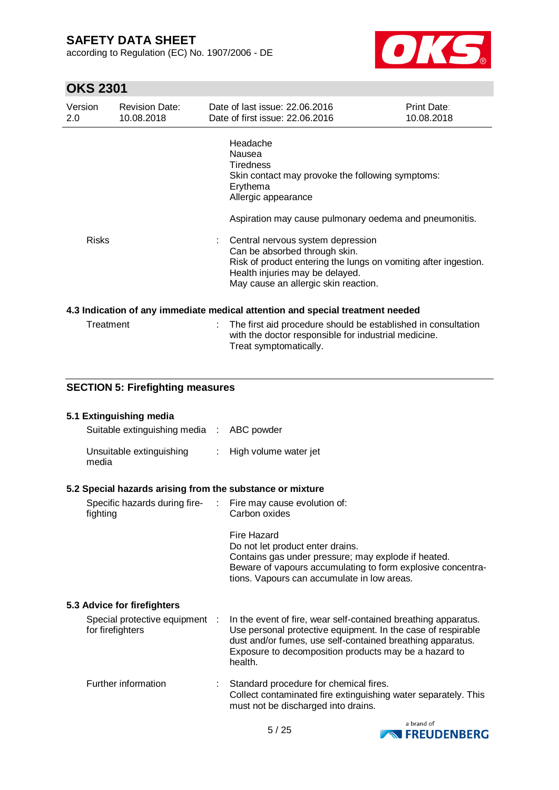according to Regulation (EC) No. 1907/2006 - DE



# **OKS 2301**

| Version<br>2.0 | <b>Revision Date:</b><br>10.08.2018                       |    | Date of last issue: 22.06.2016<br>Date of first issue: 22,06,2016                                                                                                                                                | Print Date:<br>10.08.2018 |
|----------------|-----------------------------------------------------------|----|------------------------------------------------------------------------------------------------------------------------------------------------------------------------------------------------------------------|---------------------------|
|                |                                                           |    | Headache<br>Nausea<br><b>Tiredness</b><br>Skin contact may provoke the following symptoms:<br>Erythema<br>Allergic appearance                                                                                    |                           |
|                |                                                           |    | Aspiration may cause pulmonary oedema and pneumonitis.                                                                                                                                                           |                           |
| <b>Risks</b>   |                                                           |    | Central nervous system depression<br>Can be absorbed through skin.<br>Risk of product entering the lungs on vomiting after ingestion.<br>Health injuries may be delayed.<br>May cause an allergic skin reaction. |                           |
|                |                                                           |    | 4.3 Indication of any immediate medical attention and special treatment needed                                                                                                                                   |                           |
|                | Treatment                                                 |    | The first aid procedure should be established in consultation<br>with the doctor responsible for industrial medicine.<br>Treat symptomatically.                                                                  |                           |
|                | <b>SECTION 5: Firefighting measures</b>                   |    |                                                                                                                                                                                                                  |                           |
|                |                                                           |    |                                                                                                                                                                                                                  |                           |
|                | 5.1 Extinguishing media<br>Suitable extinguishing media : |    | ABC powder                                                                                                                                                                                                       |                           |
|                | Unsuitable extinguishing<br>media                         | ÷. | High volume water jet                                                                                                                                                                                            |                           |

## **5.2 Special hazards arising from the substance or mixture**

| Specific hazards during fire-<br>fighting          | ÷ | Fire may cause evolution of:<br>Carbon oxides                                                                                                                                                                                                                    |
|----------------------------------------------------|---|------------------------------------------------------------------------------------------------------------------------------------------------------------------------------------------------------------------------------------------------------------------|
|                                                    |   | Fire Hazard<br>Do not let product enter drains.<br>Contains gas under pressure; may explode if heated.<br>Beware of vapours accumulating to form explosive concentra-<br>tions. Vapours can accumulate in low areas.                                             |
| 5.3 Advice for firefighters                        |   |                                                                                                                                                                                                                                                                  |
| Special protective equipment :<br>for firefighters |   | In the event of fire, wear self-contained breathing apparatus.<br>Use personal protective equipment. In the case of respirable<br>dust and/or fumes, use self-contained breathing apparatus.<br>Exposure to decomposition products may be a hazard to<br>health. |
| Further information                                |   | Standard procedure for chemical fires.<br>Collect contaminated fire extinguishing water separately. This<br>must not be discharged into drains.                                                                                                                  |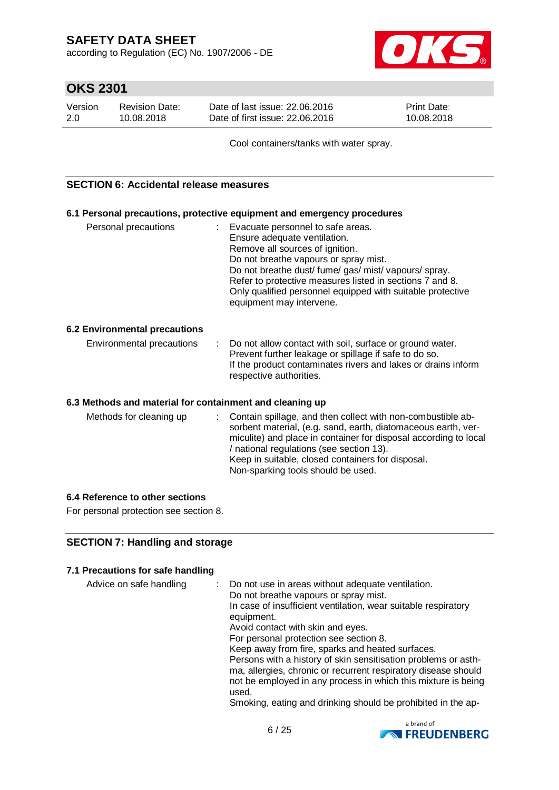according to Regulation (EC) No. 1907/2006 - DE



# **OKS 2301**

| Version | <b>Revision Date:</b> | Date of last issue: 22,06,2016  | <b>Print Date:</b> |
|---------|-----------------------|---------------------------------|--------------------|
| 2.0     | 10.08.2018            | Date of first issue: 22.06.2016 | 10.08.2018         |

Cool containers/tanks with water spray.

### **SECTION 6: Accidental release measures**

## **6.1 Personal precautions, protective equipment and emergency procedures**

| Personal precautions | : Evacuate personnel to safe areas.                        |
|----------------------|------------------------------------------------------------|
|                      | Ensure adequate ventilation.                               |
|                      | Remove all sources of ignition.                            |
|                      | Do not breathe vapours or spray mist.                      |
|                      | Do not breathe dust/ fume/ gas/ mist/ vapours/ spray.      |
|                      | Refer to protective measures listed in sections 7 and 8.   |
|                      | Only qualified personnel equipped with suitable protective |
|                      | equipment may intervene.                                   |
|                      |                                                            |

### **6.2 Environmental precautions**

### **6.3 Methods and material for containment and cleaning up**

| Methods for cleaning up |  | : Contain spillage, and then collect with non-combustible ab-<br>sorbent material, (e.g. sand, earth, diatomaceous earth, ver-<br>miculite) and place in container for disposal according to local<br>/ national regulations (see section 13).<br>Keep in suitable, closed containers for disposal.<br>Non-sparking tools should be used. |
|-------------------------|--|-------------------------------------------------------------------------------------------------------------------------------------------------------------------------------------------------------------------------------------------------------------------------------------------------------------------------------------------|
|-------------------------|--|-------------------------------------------------------------------------------------------------------------------------------------------------------------------------------------------------------------------------------------------------------------------------------------------------------------------------------------------|

### **6.4 Reference to other sections**

For personal protection see section 8.

## **SECTION 7: Handling and storage**

#### **7.1 Precautions for safe handling**

| Advice on safe handling | Do not use in areas without adequate ventilation.<br>Do not breathe vapours or spray mist. |
|-------------------------|--------------------------------------------------------------------------------------------|
|                         | In case of insufficient ventilation, wear suitable respiratory<br>equipment.               |
|                         | Avoid contact with skin and eyes.                                                          |
|                         | For personal protection see section 8.                                                     |
|                         | Keep away from fire, sparks and heated surfaces.                                           |
|                         | Persons with a history of skin sensitisation problems or asth-                             |
|                         | ma, allergies, chronic or recurrent respiratory disease should                             |
|                         | not be employed in any process in which this mixture is being<br>used.                     |
|                         | Smoking, eating and drinking should be prohibited in the ap-                               |

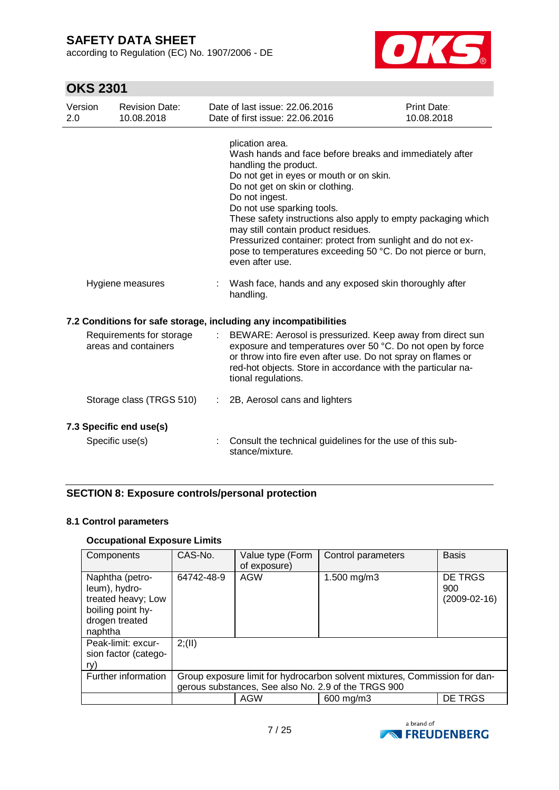according to Regulation (EC) No. 1907/2006 - DE



# **OKS 2301**

| Version<br>2.0                                   |  | <b>Revision Date:</b><br>10.08.2018        |                                                                                                                                                                                                                                                                                | Date of last issue: 22.06.2016<br>Date of first issue: 22.06.2016                                                                                                                                                                                                                                                                                                                                                                                                                           | Print Date:<br>10.08.2018 |
|--------------------------------------------------|--|--------------------------------------------|--------------------------------------------------------------------------------------------------------------------------------------------------------------------------------------------------------------------------------------------------------------------------------|---------------------------------------------------------------------------------------------------------------------------------------------------------------------------------------------------------------------------------------------------------------------------------------------------------------------------------------------------------------------------------------------------------------------------------------------------------------------------------------------|---------------------------|
|                                                  |  |                                            |                                                                                                                                                                                                                                                                                | plication area.<br>Wash hands and face before breaks and immediately after<br>handling the product.<br>Do not get in eyes or mouth or on skin.<br>Do not get on skin or clothing.<br>Do not ingest.<br>Do not use sparking tools.<br>These safety instructions also apply to empty packaging which<br>may still contain product residues.<br>Pressurized container: protect from sunlight and do not ex-<br>pose to temperatures exceeding 50 °C. Do not pierce or burn,<br>even after use. |                           |
|                                                  |  | Hygiene measures                           |                                                                                                                                                                                                                                                                                | Wash face, hands and any exposed skin thoroughly after<br>handling.                                                                                                                                                                                                                                                                                                                                                                                                                         |                           |
|                                                  |  |                                            |                                                                                                                                                                                                                                                                                | 7.2 Conditions for safe storage, including any incompatibilities                                                                                                                                                                                                                                                                                                                                                                                                                            |                           |
| Requirements for storage<br>areas and containers |  |                                            | BEWARE: Aerosol is pressurized. Keep away from direct sun<br>exposure and temperatures over 50 °C. Do not open by force<br>or throw into fire even after use. Do not spray on flames or<br>red-hot objects. Store in accordance with the particular na-<br>tional regulations. |                                                                                                                                                                                                                                                                                                                                                                                                                                                                                             |                           |
|                                                  |  | Storage class (TRGS 510)                   | ÷.                                                                                                                                                                                                                                                                             | 2B, Aerosol cans and lighters                                                                                                                                                                                                                                                                                                                                                                                                                                                               |                           |
|                                                  |  | 7.3 Specific end use(s)<br>Specific use(s) |                                                                                                                                                                                                                                                                                | Consult the technical guidelines for the use of this sub-<br>stance/mixture.                                                                                                                                                                                                                                                                                                                                                                                                                |                           |

## **SECTION 8: Exposure controls/personal protection**

### **8.1 Control parameters**

## **Occupational Exposure Limits**

| Components                                                                                               | CAS-No.    | Value type (Form<br>of exposure) | Control parameters                                                                                                                | <b>Basis</b>                     |
|----------------------------------------------------------------------------------------------------------|------------|----------------------------------|-----------------------------------------------------------------------------------------------------------------------------------|----------------------------------|
| Naphtha (petro-<br>leum), hydro-<br>treated heavy; Low<br>boiling point hy-<br>drogen treated<br>naphtha | 64742-48-9 | AGW                              | 1.500 mg/m3                                                                                                                       | DE TRGS<br>900<br>$(2009-02-16)$ |
| Peak-limit: excur-<br>sion factor (catego-<br>ry)                                                        | 2; (II)    |                                  |                                                                                                                                   |                                  |
| Further information                                                                                      |            |                                  | Group exposure limit for hydrocarbon solvent mixtures, Commission for dan-<br>gerous substances, See also No. 2.9 of the TRGS 900 |                                  |
|                                                                                                          |            | AGW                              | 600 mg/m3                                                                                                                         | DE TRGS                          |

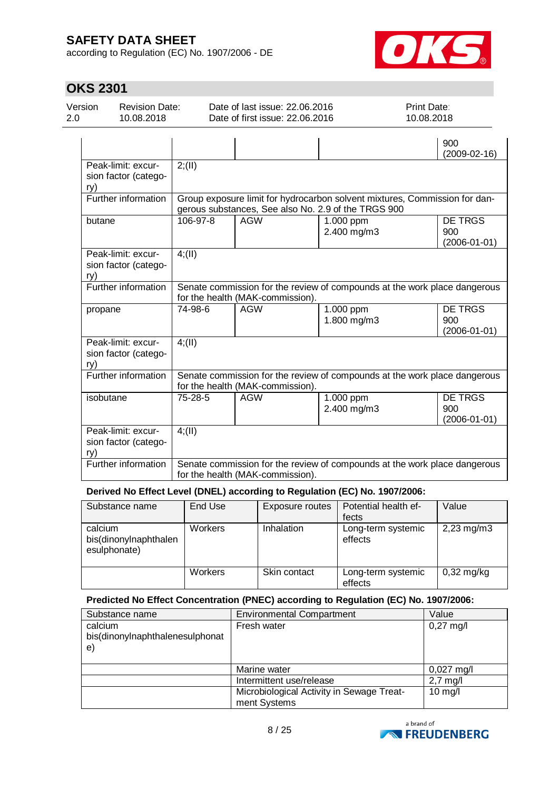according to Regulation (EC) No. 1907/2006 - DE



# **OKS 2301**

| Version<br>2.0 | <b>Revision Date:</b><br>10.08.2018        |          | Date of last issue: 22.06.2016<br>Date of first issue: 22.06.2016 |                                                     | Print Date:<br>10.08.2018                                                  |                                      |
|----------------|--------------------------------------------|----------|-------------------------------------------------------------------|-----------------------------------------------------|----------------------------------------------------------------------------|--------------------------------------|
|                |                                            |          |                                                                   |                                                     | 900                                                                        | $(2009-02-16)$                       |
| ry)            | Peak-limit: excur-<br>sion factor (catego- | 2; (II)  |                                                                   |                                                     |                                                                            |                                      |
|                | Further information                        |          |                                                                   | gerous substances, See also No. 2.9 of the TRGS 900 | Group exposure limit for hydrocarbon solvent mixtures, Commission for dan- |                                      |
| butane         |                                            | 106-97-8 | <b>AGW</b>                                                        | 1.000 ppm<br>2.400 mg/m3                            | 900                                                                        | <b>DE TRGS</b><br>$(2006 - 01 - 01)$ |
| ry)            | Peak-limit: excur-<br>sion factor (catego- | 4; (II)  |                                                                   |                                                     |                                                                            |                                      |
|                | Further information                        |          | for the health (MAK-commission).                                  |                                                     | Senate commission for the review of compounds at the work place dangerous  |                                      |
| propane        |                                            | 74-98-6  | <b>AGW</b>                                                        | 1.000 ppm<br>1.800 mg/m3                            | 900                                                                        | <b>DE TRGS</b><br>$(2006 - 01 - 01)$ |
| ry)            | Peak-limit: excur-<br>sion factor (catego- | 4(11)    |                                                                   |                                                     |                                                                            |                                      |
|                | Further information                        |          | for the health (MAK-commission).                                  |                                                     | Senate commission for the review of compounds at the work place dangerous  |                                      |
| isobutane      |                                            | 75-28-5  | <b>AGW</b>                                                        | 1.000 ppm<br>2.400 mg/m3                            | 900                                                                        | <b>DE TRGS</b><br>$(2006 - 01 - 01)$ |
| ry)            | Peak-limit: excur-<br>sion factor (catego- | 4; (II)  |                                                                   |                                                     |                                                                            |                                      |
|                | Further information                        |          | for the health (MAK-commission).                                  |                                                     | Senate commission for the review of compounds at the work place dangerous  |                                      |

### **Derived No Effect Level (DNEL) according to Regulation (EC) No. 1907/2006:**

| Substance name                                   | End Use | Exposure routes | Potential health ef-<br>fects | Value                   |
|--------------------------------------------------|---------|-----------------|-------------------------------|-------------------------|
| calcium<br>bis(dinonylnaphthalen<br>esulphonate) | Workers | Inhalation      | Long-term systemic<br>effects | $2,23 \,\mathrm{mg/m3}$ |
|                                                  | Workers | Skin contact    | Long-term systemic<br>effects | $0,32$ mg/kg            |

### **Predicted No Effect Concentration (PNEC) according to Regulation (EC) No. 1907/2006:**

| Substance name                                           | <b>Environmental Compartment</b>                          | Value               |
|----------------------------------------------------------|-----------------------------------------------------------|---------------------|
| calcium<br>bis(dinonylnaphthalenesulphonat<br>$\epsilon$ | Fresh water                                               | $0,27 \text{ mg/l}$ |
|                                                          | Marine water                                              | $0,027$ mg/l        |
|                                                          | Intermittent use/release                                  | $2,7$ mg/l          |
|                                                          | Microbiological Activity in Sewage Treat-<br>ment Systems | $10$ mg/l           |

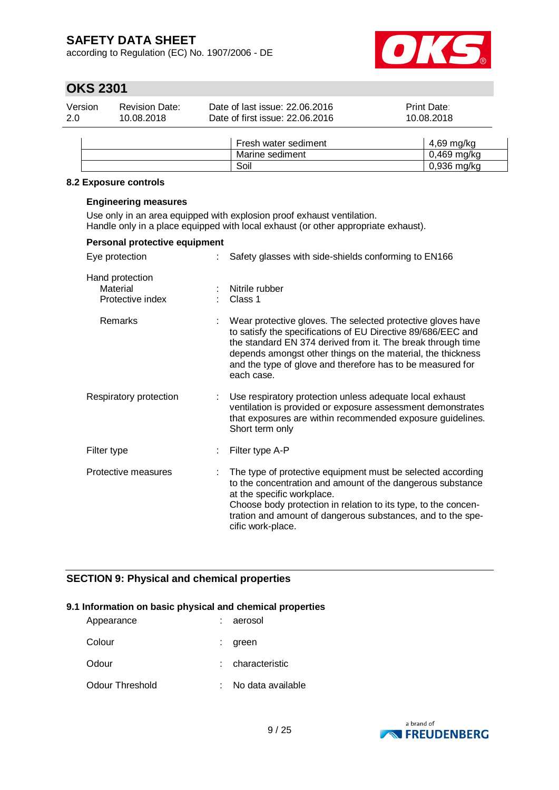according to Regulation (EC) No. 1907/2006 - DE



# **OKS 2301**

| Version | <b>Revision Date:</b> | Date of last issue: 22,06,2016  | <b>Print Date:</b> |
|---------|-----------------------|---------------------------------|--------------------|
| 2.0     | 10.08.2018            | Date of first issue: 22.06.2016 | 10.08.2018         |
|         |                       |                                 |                    |

| Fresh water sediment | 4.69 ma/ka    |
|----------------------|---------------|
| Marine sediment      | $0,469$ mg/kg |
| Soil                 | $0,936$ mg/kg |

#### **8.2 Exposure controls**

#### **Engineering measures**

Use only in an area equipped with explosion proof exhaust ventilation. Handle only in a place equipped with local exhaust (or other appropriate exhaust).

| Personal protective equipment                   |    |                                                                                                                                                                                                                                                                                                                                       |
|-------------------------------------------------|----|---------------------------------------------------------------------------------------------------------------------------------------------------------------------------------------------------------------------------------------------------------------------------------------------------------------------------------------|
| Eye protection                                  |    | Safety glasses with side-shields conforming to EN166                                                                                                                                                                                                                                                                                  |
| Hand protection<br>Material<br>Protective index | ÷. | Nitrile rubber<br>Class 1                                                                                                                                                                                                                                                                                                             |
| Remarks                                         |    | Wear protective gloves. The selected protective gloves have<br>to satisfy the specifications of EU Directive 89/686/EEC and<br>the standard EN 374 derived from it. The break through time<br>depends amongst other things on the material, the thickness<br>and the type of glove and therefore has to be measured for<br>each case. |
| Respiratory protection                          |    | Use respiratory protection unless adequate local exhaust<br>ventilation is provided or exposure assessment demonstrates<br>that exposures are within recommended exposure guidelines.<br>Short term only                                                                                                                              |
| Filter type                                     |    | Filter type A-P                                                                                                                                                                                                                                                                                                                       |
| Protective measures                             |    | The type of protective equipment must be selected according<br>to the concentration and amount of the dangerous substance<br>at the specific workplace.<br>Choose body protection in relation to its type, to the concen-<br>tration and amount of dangerous substances, and to the spe-<br>cific work-place.                         |

## **SECTION 9: Physical and chemical properties**

#### **9.1 Information on basic physical and chemical properties**

| Appearance      | : aerosol         |
|-----------------|-------------------|
| Colour          | green             |
| Odour           | characteristic    |
| Odour Threshold | No data available |

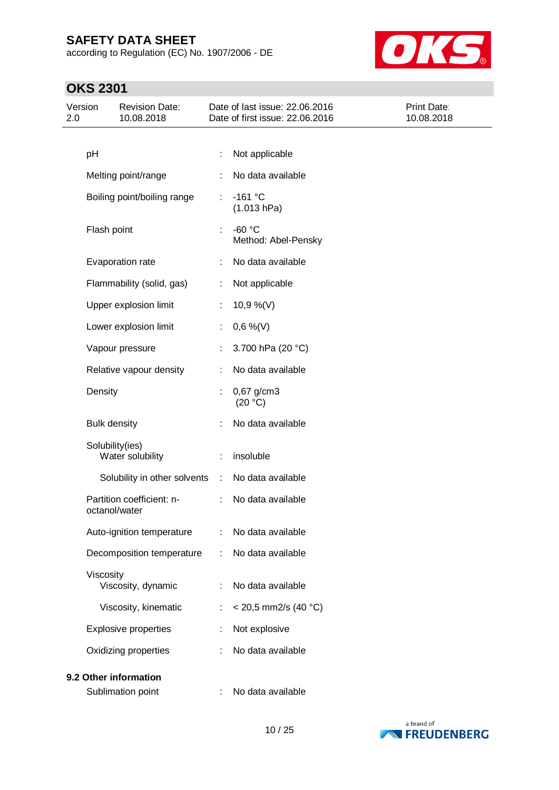according to Regulation (EC) No. 1907/2006 - DE



| Version<br>2.0 |                     | <b>Revision Date:</b><br>10.08.2018 |           | Date of last issue: 22.06.2016<br>Date of first issue: 22.06.2016 | Print Date:<br>10.08.2018 |
|----------------|---------------------|-------------------------------------|-----------|-------------------------------------------------------------------|---------------------------|
|                |                     |                                     |           |                                                                   |                           |
|                | pH                  |                                     | ÷         | Not applicable                                                    |                           |
|                |                     | Melting point/range                 |           | No data available                                                 |                           |
|                |                     | Boiling point/boiling range         |           | $-161 °C$<br>(1.013 hPa)                                          |                           |
|                | Flash point         |                                     | ÷         | $-60 °C$<br>Method: Abel-Pensky                                   |                           |
|                |                     | Evaporation rate                    |           | No data available                                                 |                           |
|                |                     | Flammability (solid, gas)           | ÷         | Not applicable                                                    |                           |
|                |                     | Upper explosion limit               | ÷.        | 10,9 %(V)                                                         |                           |
|                |                     | Lower explosion limit               |           | $0,6\%$ (V)                                                       |                           |
|                |                     | Vapour pressure                     |           | 3.700 hPa (20 °C)                                                 |                           |
|                |                     | Relative vapour density             | ÷         | No data available                                                 |                           |
|                | Density             |                                     |           | 0,67 g/cm3<br>(20 °C)                                             |                           |
|                | <b>Bulk density</b> |                                     |           | No data available                                                 |                           |
|                | Solubility(ies)     | Water solubility                    |           | insoluble                                                         |                           |
|                |                     | Solubility in other solvents        | $\sim 10$ | No data available                                                 |                           |
|                | octanol/water       | Partition coefficient: n-           | ÷.        | No data available                                                 |                           |
|                |                     | Auto-ignition temperature           |           | No data available                                                 |                           |
|                |                     | Decomposition temperature           |           | No data available                                                 |                           |
|                | Viscosity           | Viscosity, dynamic                  |           | No data available                                                 |                           |
|                |                     | Viscosity, kinematic                |           | $<$ 20,5 mm2/s (40 °C)                                            |                           |
|                |                     | <b>Explosive properties</b>         |           | Not explosive                                                     |                           |
|                |                     | Oxidizing properties                |           | No data available                                                 |                           |
|                |                     | 9.2 Other information               |           |                                                                   |                           |
|                |                     | Sublimation point                   |           | No data available                                                 |                           |

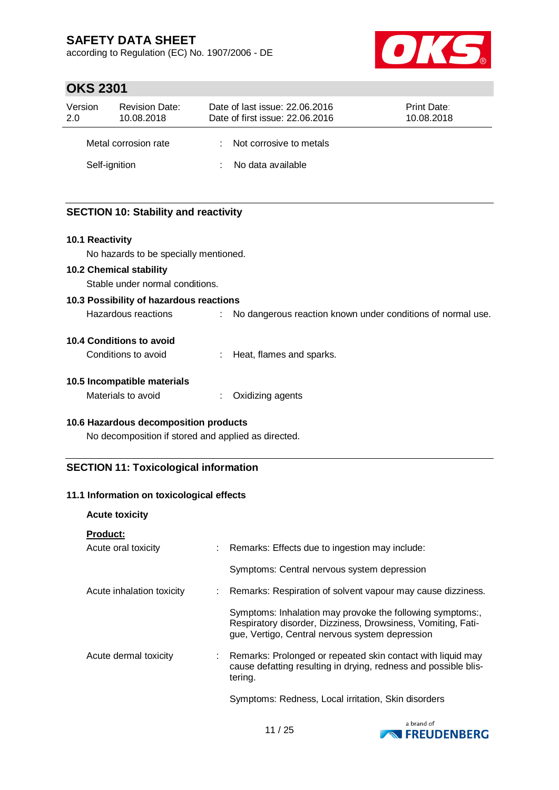according to Regulation (EC) No. 1907/2006 - DE



## **OKS 2301**

| Version<br>2.0 | <b>Revision Date:</b><br>10.08.2018 | Date of last issue: 22.06.2016<br>Date of first issue: 22.06.2016 | <b>Print Date:</b><br>10.08.2018 |
|----------------|-------------------------------------|-------------------------------------------------------------------|----------------------------------|
|                | Metal corrosion rate                | : Not corrosive to metals                                         |                                  |
|                | Self-ignition                       | No data available                                                 |                                  |

## **SECTION 10: Stability and reactivity**

#### **10.1 Reactivity**

No hazards to be specially mentioned.

#### **10.2 Chemical stability**

Stable under normal conditions.

#### **10.3 Possibility of hazardous reactions**

Hazardous reactions : No dangerous reaction known under conditions of normal use.

#### **10.4 Conditions to avoid**

Conditions to avoid : Heat, flames and sparks.

### **10.5 Incompatible materials**

Materials to avoid : Oxidizing agents

### **10.6 Hazardous decomposition products**

No decomposition if stored and applied as directed.

## **SECTION 11: Toxicological information**

### **11.1 Information on toxicological effects**

### **Acute toxicity**

| <b>Product:</b> |  |
|-----------------|--|
|                 |  |

| Acute oral toxicity       | : Remarks: Effects due to ingestion may include:                                                                                                                             |
|---------------------------|------------------------------------------------------------------------------------------------------------------------------------------------------------------------------|
|                           | Symptoms: Central nervous system depression                                                                                                                                  |
| Acute inhalation toxicity | : Remarks: Respiration of solvent vapour may cause dizziness.                                                                                                                |
|                           | Symptoms: Inhalation may provoke the following symptoms:,<br>Respiratory disorder, Dizziness, Drowsiness, Vomiting, Fati-<br>que, Vertigo, Central nervous system depression |
| Acute dermal toxicity     | Remarks: Prolonged or repeated skin contact with liquid may<br>cause defatting resulting in drying, redness and possible blis-<br>tering.                                    |
|                           | Symptoms: Redness, Local irritation, Skin disorders                                                                                                                          |

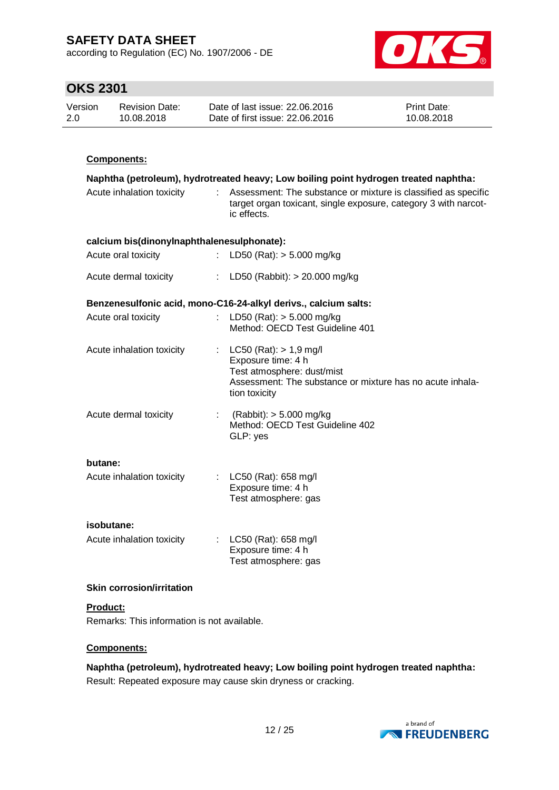according to Regulation (EC) No. 1907/2006 - DE



# **OKS 2301**

| Version | <b>Revision Date:</b> | Date of last issue: 22.06.2016  | <b>Print Date:</b> |
|---------|-----------------------|---------------------------------|--------------------|
| 2.0     | 10.08.2018            | Date of first issue: 22.06.2016 | 10.08.2018         |

## **Components:**

|                                            | Naphtha (petroleum), hydrotreated heavy; Low boiling point hydrogen treated naphtha: |                                                                                                                                                              |  |  |  |
|--------------------------------------------|--------------------------------------------------------------------------------------|--------------------------------------------------------------------------------------------------------------------------------------------------------------|--|--|--|
| Acute inhalation toxicity                  |                                                                                      | : Assessment: The substance or mixture is classified as specific<br>target organ toxicant, single exposure, category 3 with narcot-<br>ic effects.           |  |  |  |
| calcium bis(dinonylnaphthalenesulphonate): |                                                                                      |                                                                                                                                                              |  |  |  |
| Acute oral toxicity                        |                                                                                      | : LD50 (Rat): $> 5.000$ mg/kg                                                                                                                                |  |  |  |
| Acute dermal toxicity                      |                                                                                      | : LD50 (Rabbit): > 20.000 mg/kg                                                                                                                              |  |  |  |
|                                            |                                                                                      | Benzenesulfonic acid, mono-C16-24-alkyl derivs., calcium salts:                                                                                              |  |  |  |
| Acute oral toxicity                        |                                                                                      | LD50 (Rat): $> 5.000$ mg/kg<br>Method: OECD Test Guideline 401                                                                                               |  |  |  |
| Acute inhalation toxicity                  |                                                                                      | : $LC50 (Rat): > 1.9 mg/l$<br>Exposure time: 4 h<br>Test atmosphere: dust/mist<br>Assessment: The substance or mixture has no acute inhala-<br>tion toxicity |  |  |  |
| Acute dermal toxicity                      |                                                                                      | : $(Rabbit):$ > 5.000 mg/kg<br>Method: OECD Test Guideline 402<br>GLP: yes                                                                                   |  |  |  |
| butane:<br>Acute inhalation toxicity       |                                                                                      | : LC50 (Rat): 658 mg/l<br>Exposure time: 4 h<br>Test atmosphere: gas                                                                                         |  |  |  |
| isobutane:<br>Acute inhalation toxicity    |                                                                                      | : $LC50$ (Rat): 658 mg/l<br>Exposure time: 4 h<br>Test atmosphere: gas                                                                                       |  |  |  |

### **Skin corrosion/irritation**

## **Product:**

Remarks: This information is not available.

### **Components:**

**Naphtha (petroleum), hydrotreated heavy; Low boiling point hydrogen treated naphtha:** Result: Repeated exposure may cause skin dryness or cracking.

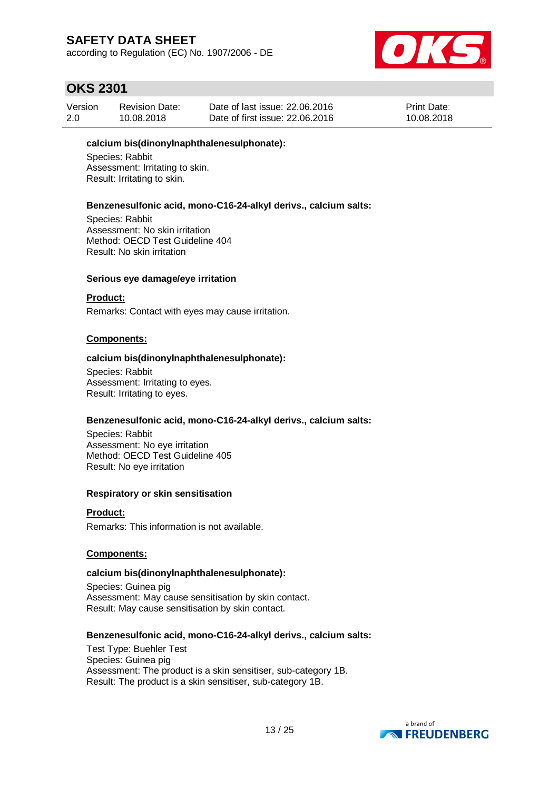according to Regulation (EC) No. 1907/2006 - DE



## **OKS 2301**

| Version | <b>Revision Date:</b> | Date of last issue: 22,06,2016  | <b>Print Date:</b> |
|---------|-----------------------|---------------------------------|--------------------|
| 2.0     | 10.08.2018            | Date of first issue: 22,06,2016 | 10.08.2018         |

#### **calcium bis(dinonylnaphthalenesulphonate):**

Species: Rabbit Assessment: Irritating to skin. Result: Irritating to skin.

#### **Benzenesulfonic acid, mono-C16-24-alkyl derivs., calcium salts:**

Species: Rabbit Assessment: No skin irritation Method: OECD Test Guideline 404 Result: No skin irritation

#### **Serious eye damage/eye irritation**

#### **Product:**

Remarks: Contact with eyes may cause irritation.

#### **Components:**

#### **calcium bis(dinonylnaphthalenesulphonate):**

Species: Rabbit Assessment: Irritating to eyes. Result: Irritating to eyes.

#### **Benzenesulfonic acid, mono-C16-24-alkyl derivs., calcium salts:**

Species: Rabbit Assessment: No eye irritation Method: OECD Test Guideline 405 Result: No eye irritation

#### **Respiratory or skin sensitisation**

**Product:** Remarks: This information is not available.

### **Components:**

#### **calcium bis(dinonylnaphthalenesulphonate):**

Species: Guinea pig Assessment: May cause sensitisation by skin contact. Result: May cause sensitisation by skin contact.

#### **Benzenesulfonic acid, mono-C16-24-alkyl derivs., calcium salts:**

Test Type: Buehler Test Species: Guinea pig Assessment: The product is a skin sensitiser, sub-category 1B. Result: The product is a skin sensitiser, sub-category 1B.

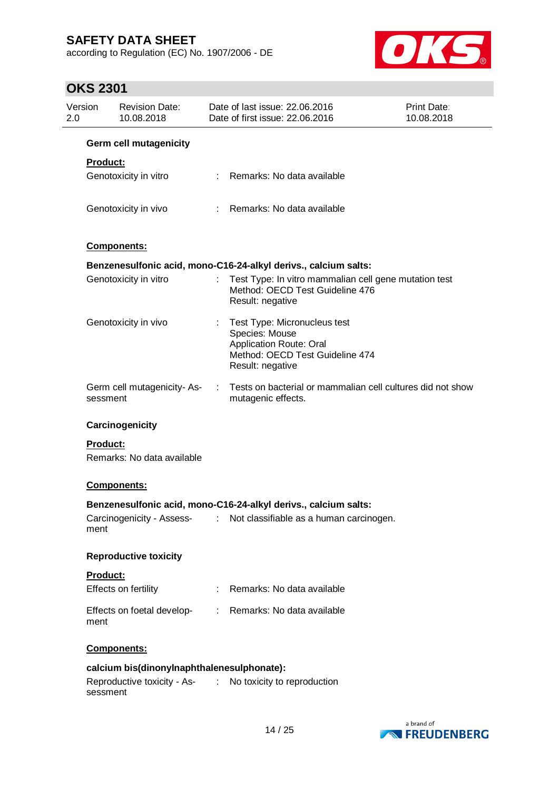according to Regulation (EC) No. 1907/2006 - DE



| Version<br>2.0 |                 | <b>Revision Date:</b><br>10.08.2018        |                               | Date of last issue: 22.06.2016<br>Date of first issue: 22.06.2016                                                                       | Print Date:<br>10.08.2018 |
|----------------|-----------------|--------------------------------------------|-------------------------------|-----------------------------------------------------------------------------------------------------------------------------------------|---------------------------|
|                |                 | <b>Germ cell mutagenicity</b>              |                               |                                                                                                                                         |                           |
|                | Product:        |                                            |                               |                                                                                                                                         |                           |
|                |                 | Genotoxicity in vitro                      |                               | Remarks: No data available                                                                                                              |                           |
|                |                 | Genotoxicity in vivo                       |                               | Remarks: No data available                                                                                                              |                           |
|                |                 | Components:                                |                               |                                                                                                                                         |                           |
|                |                 |                                            |                               | Benzenesulfonic acid, mono-C16-24-alkyl derivs., calcium salts:                                                                         |                           |
|                |                 | Genotoxicity in vitro                      |                               | Test Type: In vitro mammalian cell gene mutation test<br>Method: OECD Test Guideline 476<br>Result: negative                            |                           |
|                |                 | Genotoxicity in vivo                       | ÷.                            | Test Type: Micronucleus test<br>Species: Mouse<br><b>Application Route: Oral</b><br>Method: OECD Test Guideline 474<br>Result: negative |                           |
|                | sessment        | Germ cell mutagenicity-As-                 |                               | Tests on bacterial or mammalian cell cultures did not show<br>mutagenic effects.                                                        |                           |
|                |                 | Carcinogenicity                            |                               |                                                                                                                                         |                           |
|                | <b>Product:</b> |                                            |                               |                                                                                                                                         |                           |
|                |                 | Remarks: No data available                 |                               |                                                                                                                                         |                           |
|                |                 | Components:                                |                               |                                                                                                                                         |                           |
|                |                 |                                            |                               | Benzenesulfonic acid, mono-C16-24-alkyl derivs., calcium salts:                                                                         |                           |
|                | ment            | Carcinogenicity - Assess-                  |                               | Not classifiable as a human carcinogen.                                                                                                 |                           |
|                |                 | <b>Reproductive toxicity</b>               |                               |                                                                                                                                         |                           |
|                | Product:        |                                            |                               |                                                                                                                                         |                           |
|                |                 | Effects on fertility                       |                               | Remarks: No data available                                                                                                              |                           |
|                | ment            | Effects on foetal develop-                 |                               | Remarks: No data available                                                                                                              |                           |
|                |                 | Components:                                |                               |                                                                                                                                         |                           |
|                |                 | calcium bis(dinonylnaphthalenesulphonate): |                               |                                                                                                                                         |                           |
|                | sessment        | Reproductive toxicity - As-                | $\mathcal{I}^{\mathcal{I}}$ . | No toxicity to reproduction                                                                                                             |                           |

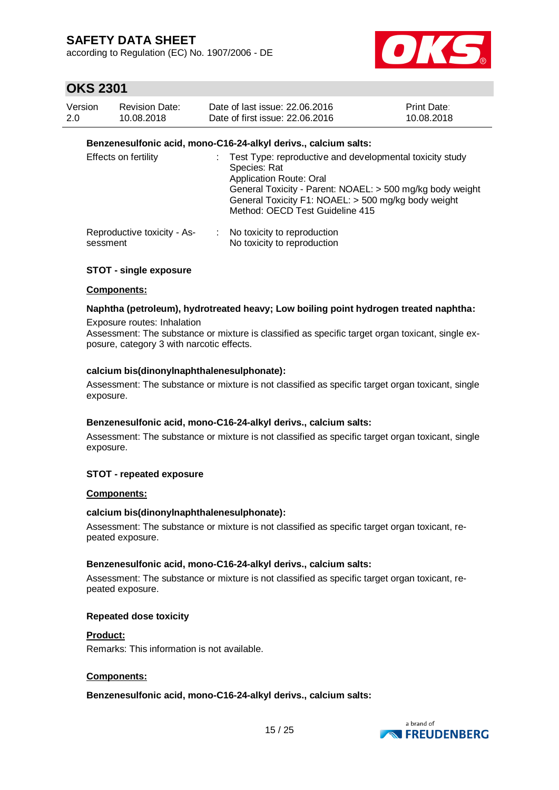according to Regulation (EC) No. 1907/2006 - DE



## **OKS 2301**

| Version | <b>Revision Date:</b> | Date of last issue: 22,06,2016  | <b>Print Date:</b> |
|---------|-----------------------|---------------------------------|--------------------|
| 2.0     | 10.08.2018            | Date of first issue: 22,06,2016 | 10.08.2018         |

### **Benzenesulfonic acid, mono-C16-24-alkyl derivs., calcium salts:**

| <b>Effects on fertility</b>             | : Test Type: reproductive and developmental toxicity study<br>Species: Rat<br><b>Application Route: Oral</b><br>General Toxicity - Parent: NOAEL: > 500 mg/kg body weight<br>General Toxicity F1: NOAEL: > 500 mg/kg body weight<br>Method: OECD Test Guideline 415 |
|-----------------------------------------|---------------------------------------------------------------------------------------------------------------------------------------------------------------------------------------------------------------------------------------------------------------------|
| Reproductive toxicity - As-<br>sessment | No toxicity to reproduction<br>No toxicity to reproduction                                                                                                                                                                                                          |

### **STOT - single exposure**

#### **Components:**

#### **Naphtha (petroleum), hydrotreated heavy; Low boiling point hydrogen treated naphtha:**

Exposure routes: Inhalation Assessment: The substance or mixture is classified as specific target organ toxicant, single exposure, category 3 with narcotic effects.

#### **calcium bis(dinonylnaphthalenesulphonate):**

Assessment: The substance or mixture is not classified as specific target organ toxicant, single exposure.

#### **Benzenesulfonic acid, mono-C16-24-alkyl derivs., calcium salts:**

Assessment: The substance or mixture is not classified as specific target organ toxicant, single exposure.

#### **STOT - repeated exposure**

#### **Components:**

#### **calcium bis(dinonylnaphthalenesulphonate):**

Assessment: The substance or mixture is not classified as specific target organ toxicant, repeated exposure.

#### **Benzenesulfonic acid, mono-C16-24-alkyl derivs., calcium salts:**

Assessment: The substance or mixture is not classified as specific target organ toxicant, repeated exposure.

#### **Repeated dose toxicity**

#### **Product:**

Remarks: This information is not available.

### **Components:**

### **Benzenesulfonic acid, mono-C16-24-alkyl derivs., calcium salts:**

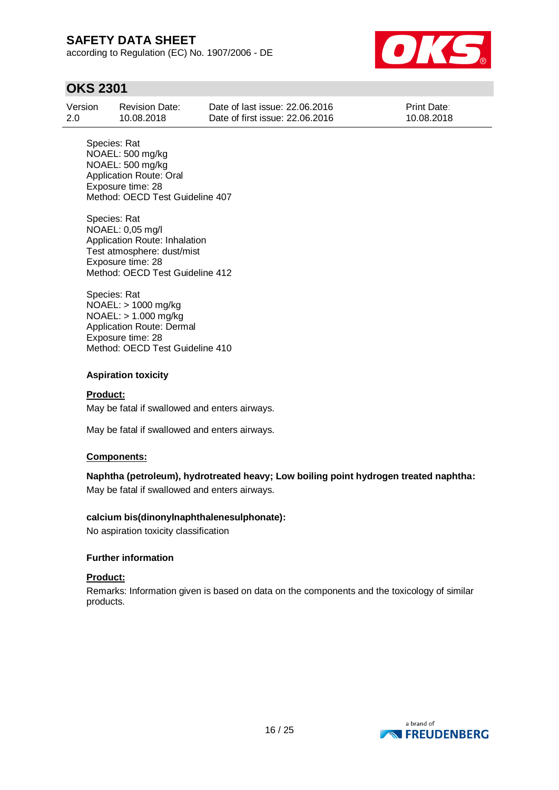according to Regulation (EC) No. 1907/2006 - DE



## **OKS 2301**

| Version | <b>Revision Date:</b> | Date of last issue: 22,06,2016  | <b>Print Date:</b> |
|---------|-----------------------|---------------------------------|--------------------|
| 2.0     | 10.08.2018            | Date of first issue: 22,06,2016 | 10.08.2018         |

Species: Rat NOAEL: 500 mg/kg NOAEL: 500 mg/kg Application Route: Oral Exposure time: 28 Method: OECD Test Guideline 407

Species: Rat NOAEL: 0,05 mg/l Application Route: Inhalation Test atmosphere: dust/mist Exposure time: 28 Method: OECD Test Guideline 412

Species: Rat NOAEL: > 1000 mg/kg NOAEL: > 1.000 mg/kg Application Route: Dermal Exposure time: 28 Method: OECD Test Guideline 410

### **Aspiration toxicity**

### **Product:**

May be fatal if swallowed and enters airways.

May be fatal if swallowed and enters airways.

### **Components:**

**Naphtha (petroleum), hydrotreated heavy; Low boiling point hydrogen treated naphtha:** May be fatal if swallowed and enters airways.

### **calcium bis(dinonylnaphthalenesulphonate):**

No aspiration toxicity classification

### **Further information**

#### **Product:**

Remarks: Information given is based on data on the components and the toxicology of similar products.

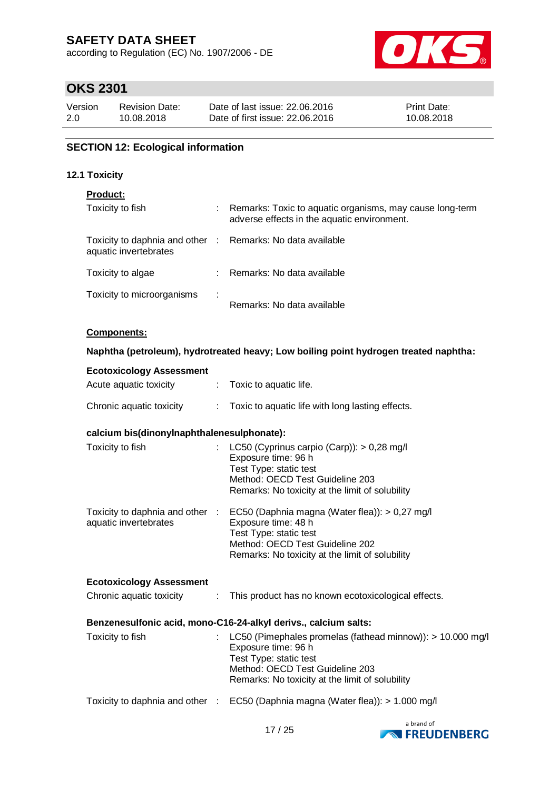according to Regulation (EC) No. 1907/2006 - DE



# **OKS 2301**

| Version | <b>Revision Date:</b> | Date of last issue: 22,06,2016  | <b>Print Date:</b> |
|---------|-----------------------|---------------------------------|--------------------|
| 2.0     | 10.08.2018            | Date of first issue: 22,06,2016 | 10.08.2018         |

## **SECTION 12: Ecological information**

#### **12.1 Toxicity**

### **Product:**

| Toxicity to fish                                                                    |   | Remarks: Toxic to aquatic organisms, may cause long-term<br>adverse effects in the aquatic environment. |
|-------------------------------------------------------------------------------------|---|---------------------------------------------------------------------------------------------------------|
| Toxicity to daphnia and other : Remarks: No data available<br>aquatic invertebrates |   |                                                                                                         |
| Toxicity to algae                                                                   |   | : Remarks: No data available                                                                            |
| Toxicity to microorganisms                                                          | ÷ | Remarks: No data available                                                                              |

#### **Components:**

#### **Naphtha (petroleum), hydrotreated heavy; Low boiling point hydrogen treated naphtha:**

| <b>Ecotoxicology Assessment</b>            |                            |                                                                                                                                                                                                                       |
|--------------------------------------------|----------------------------|-----------------------------------------------------------------------------------------------------------------------------------------------------------------------------------------------------------------------|
| Acute aquatic toxicity                     | $\mathbb{R}^n$             | Toxic to aquatic life.                                                                                                                                                                                                |
| Chronic aquatic toxicity                   |                            | : Toxic to aquatic life with long lasting effects.                                                                                                                                                                    |
| calcium bis(dinonylnaphthalenesulphonate): |                            |                                                                                                                                                                                                                       |
| Toxicity to fish                           | $\mathcal{D}^{\text{max}}$ | LC50 (Cyprinus carpio (Carp)): > 0,28 mg/l<br>Exposure time: 96 h<br>Test Type: static test<br>Method: OECD Test Guideline 203<br>Remarks: No toxicity at the limit of solubility                                     |
| aquatic invertebrates                      |                            | Toxicity to daphnia and other : EC50 (Daphnia magna (Water flea)): > 0,27 mg/l<br>Exposure time: 48 h<br>Test Type: static test<br>Method: OECD Test Guideline 202<br>Remarks: No toxicity at the limit of solubility |
| <b>Ecotoxicology Assessment</b>            |                            |                                                                                                                                                                                                                       |
| Chronic aquatic toxicity                   | $\mathcal{L}$              | This product has no known ecotoxicological effects.                                                                                                                                                                   |
|                                            |                            | Benzenesulfonic acid, mono-C16-24-alkyl derivs., calcium salts:                                                                                                                                                       |
| Toxicity to fish                           | ÷                          | LC50 (Pimephales promelas (fathead minnow)): > 10.000 mg/l<br>Exposure time: 96 h<br>Test Type: static test<br>Method: OECD Test Guideline 203<br>Remarks: No toxicity at the limit of solubility                     |
|                                            |                            | Toxicity to daphnia and other : EC50 (Daphnia magna (Water flea)): > 1.000 mg/l                                                                                                                                       |
|                                            |                            |                                                                                                                                                                                                                       |

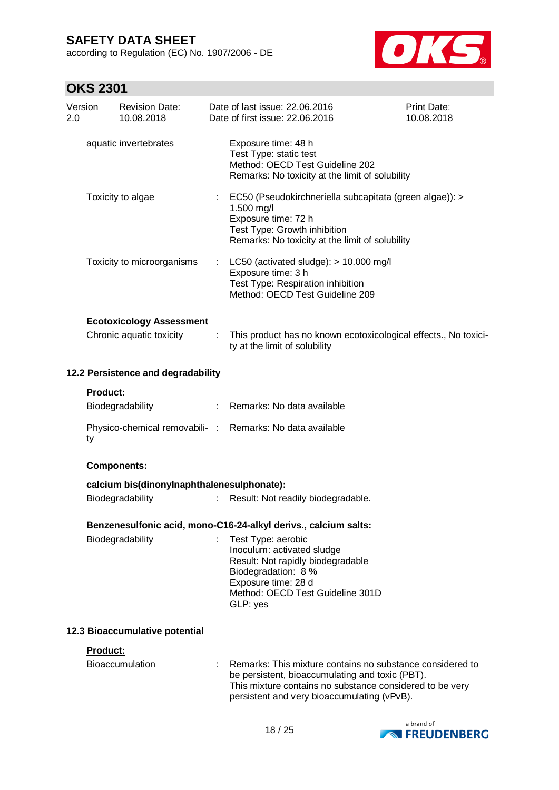according to Regulation (EC) No. 1907/2006 - DE



| 2.0 | Version         | <b>Revision Date:</b><br>10.08.2018                         |                | Date of last issue: 22.06.2016<br>Date of first issue: 22.06.2016                                                                                                                                                       | <b>Print Date:</b><br>10.08.2018 |
|-----|-----------------|-------------------------------------------------------------|----------------|-------------------------------------------------------------------------------------------------------------------------------------------------------------------------------------------------------------------------|----------------------------------|
|     |                 | aquatic invertebrates                                       |                | Exposure time: 48 h<br>Test Type: static test<br>Method: OECD Test Guideline 202<br>Remarks: No toxicity at the limit of solubility                                                                                     |                                  |
|     |                 | Toxicity to algae                                           |                | EC50 (Pseudokirchneriella subcapitata (green algae)): ><br>1.500 mg/l<br>Exposure time: 72 h<br>Test Type: Growth inhibition<br>Remarks: No toxicity at the limit of solubility                                         |                                  |
|     |                 | Toxicity to microorganisms                                  | ÷.             | LC50 (activated sludge): > 10.000 mg/l<br>Exposure time: 3 h<br>Test Type: Respiration inhibition<br>Method: OECD Test Guideline 209                                                                                    |                                  |
|     |                 |                                                             |                |                                                                                                                                                                                                                         |                                  |
|     |                 | <b>Ecotoxicology Assessment</b><br>Chronic aquatic toxicity |                | This product has no known ecotoxicological effects., No toxici-<br>ty at the limit of solubility                                                                                                                        |                                  |
|     |                 | 12.2 Persistence and degradability                          |                |                                                                                                                                                                                                                         |                                  |
|     | <b>Product:</b> |                                                             |                |                                                                                                                                                                                                                         |                                  |
|     |                 | Biodegradability                                            | $\mathbb{R}^n$ | Remarks: No data available                                                                                                                                                                                              |                                  |
|     | ty              |                                                             |                | Physico-chemical removabili- : Remarks: No data available                                                                                                                                                               |                                  |
|     |                 | Components:                                                 |                |                                                                                                                                                                                                                         |                                  |
|     |                 | calcium bis(dinonylnaphthalenesulphonate):                  |                |                                                                                                                                                                                                                         |                                  |
|     |                 | Biodegradability                                            | t              | Result: Not readily biodegradable.                                                                                                                                                                                      |                                  |
|     |                 |                                                             |                | Benzenesulfonic acid, mono-C16-24-alkyl derivs., calcium salts:                                                                                                                                                         |                                  |
|     |                 |                                                             |                |                                                                                                                                                                                                                         |                                  |
|     |                 | Biodegradability                                            | t.             | Test Type: aerobic<br>Inoculum: activated sludge                                                                                                                                                                        |                                  |
|     |                 |                                                             |                | Result: Not rapidly biodegradable                                                                                                                                                                                       |                                  |
|     |                 |                                                             |                | Biodegradation: 8 %                                                                                                                                                                                                     |                                  |
|     |                 |                                                             |                | Exposure time: 28 d<br>Method: OECD Test Guideline 301D<br>GLP: yes                                                                                                                                                     |                                  |
|     |                 | 12.3 Bioaccumulative potential                              |                |                                                                                                                                                                                                                         |                                  |
|     | Product:        |                                                             |                |                                                                                                                                                                                                                         |                                  |
|     |                 | <b>Bioaccumulation</b>                                      |                | Remarks: This mixture contains no substance considered to<br>be persistent, bioaccumulating and toxic (PBT).<br>This mixture contains no substance considered to be very<br>persistent and very bioaccumulating (vPvB). |                                  |

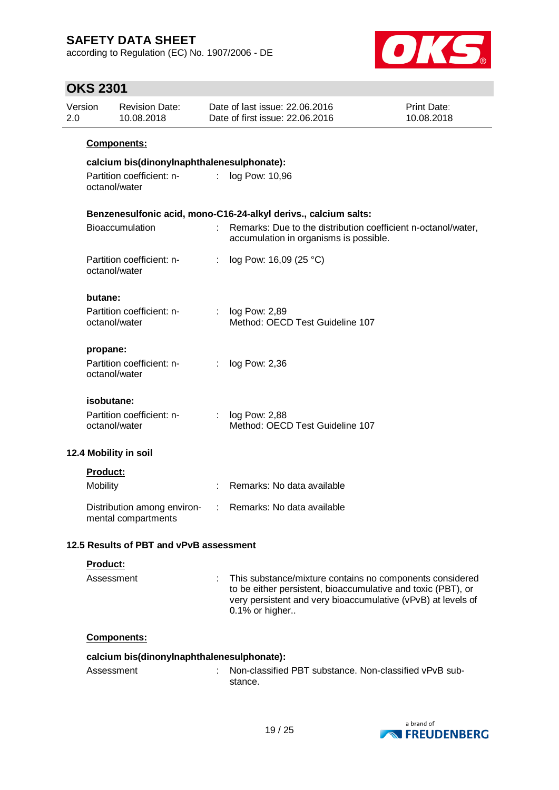according to Regulation (EC) No. 1907/2006 - DE



| ו טטב שווט<br>Version | <b>Revision Date:</b>                              |    | Date of last issue: 22.06.2016                                                                                                                                                                             | <b>Print Date:</b> |
|-----------------------|----------------------------------------------------|----|------------------------------------------------------------------------------------------------------------------------------------------------------------------------------------------------------------|--------------------|
| 2.0                   | 10.08.2018                                         |    | Date of first issue: 22.06.2016                                                                                                                                                                            | 10.08.2018         |
|                       | <b>Components:</b>                                 |    |                                                                                                                                                                                                            |                    |
|                       | calcium bis(dinonylnaphthalenesulphonate):         |    |                                                                                                                                                                                                            |                    |
|                       | Partition coefficient: n-<br>octanol/water         |    | : log Pow: 10,96                                                                                                                                                                                           |                    |
|                       |                                                    |    | Benzenesulfonic acid, mono-C16-24-alkyl derivs., calcium salts:                                                                                                                                            |                    |
|                       | Bioaccumulation                                    |    | Remarks: Due to the distribution coefficient n-octanol/water,<br>accumulation in organisms is possible.                                                                                                    |                    |
|                       | Partition coefficient: n-<br>octanol/water         | ÷. | log Pow: 16,09 (25 °C)                                                                                                                                                                                     |                    |
|                       | butane:                                            |    |                                                                                                                                                                                                            |                    |
|                       | Partition coefficient: n-<br>octanol/water         |    | : $log Pow: 2,89$<br>Method: OECD Test Guideline 107                                                                                                                                                       |                    |
|                       | propane:                                           |    |                                                                                                                                                                                                            |                    |
|                       | Partition coefficient: n-<br>octanol/water         | ÷. | log Pow: 2,36                                                                                                                                                                                              |                    |
|                       | isobutane:                                         |    |                                                                                                                                                                                                            |                    |
|                       | Partition coefficient: n-<br>octanol/water         |    | : $log Pow: 2,88$<br>Method: OECD Test Guideline 107                                                                                                                                                       |                    |
|                       | 12.4 Mobility in soil                              |    |                                                                                                                                                                                                            |                    |
|                       | Product:                                           |    |                                                                                                                                                                                                            |                    |
|                       | <b>Mobility</b>                                    |    | Remarks: No data available                                                                                                                                                                                 |                    |
|                       | Distribution among environ-<br>mental compartments |    | Remarks: No data available                                                                                                                                                                                 |                    |
|                       | 12.5 Results of PBT and vPvB assessment            |    |                                                                                                                                                                                                            |                    |
|                       | Product:                                           |    |                                                                                                                                                                                                            |                    |
|                       | Assessment                                         |    | This substance/mixture contains no components considered<br>to be either persistent, bioaccumulative and toxic (PBT), or<br>very persistent and very bioaccumulative (vPvB) at levels of<br>0.1% or higher |                    |
|                       | Components:                                        |    |                                                                                                                                                                                                            |                    |
|                       | calcium bis(dinonylnaphthalenesulphonate):         |    |                                                                                                                                                                                                            |                    |
|                       | Assessment                                         |    | Non-classified PBT substance. Non-classified vPvB sub-<br>stance.                                                                                                                                          |                    |

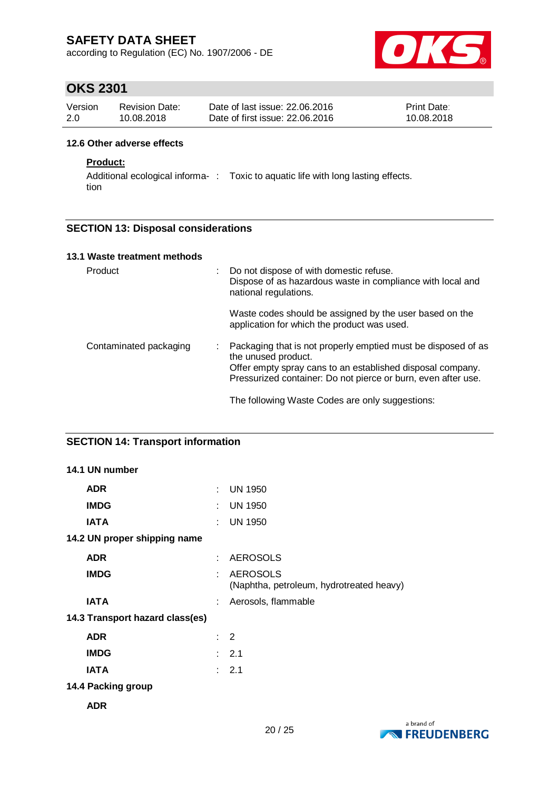according to Regulation (EC) No. 1907/2006 - DE



## **OKS 2301**

| Version | Revision Date: | Date of last issue: 22,06,2016  | <b>Print Date:</b> |
|---------|----------------|---------------------------------|--------------------|
| 2.0     | 10.08.2018     | Date of first issue: 22,06,2016 | 10.08.2018         |

#### **12.6 Other adverse effects**

## **Product:**

Additional ecological informa- : Toxic to aquatic life with long lasting effects. tion

### **SECTION 13: Disposal considerations**

| 13.1 Waste treatment methods |  |                                                                                                                                                                                                                                                                        |
|------------------------------|--|------------------------------------------------------------------------------------------------------------------------------------------------------------------------------------------------------------------------------------------------------------------------|
| Product                      |  | Do not dispose of with domestic refuse.<br>Dispose of as hazardous waste in compliance with local and<br>national regulations.                                                                                                                                         |
|                              |  | Waste codes should be assigned by the user based on the<br>application for which the product was used.                                                                                                                                                                 |
| Contaminated packaging       |  | Packaging that is not properly emptied must be disposed of as<br>the unused product.<br>Offer empty spray cans to an established disposal company.<br>Pressurized container: Do not pierce or burn, even after use.<br>The following Waste Codes are only suggestions: |

## **SECTION 14: Transport information**

| 14.1 UN number                  |                             |                                                             |
|---------------------------------|-----------------------------|-------------------------------------------------------------|
| <b>ADR</b>                      |                             | : UN 1950                                                   |
| <b>IMDG</b>                     | ÷.                          | <b>UN 1950</b>                                              |
| <b>IATA</b>                     |                             | : UN 1950                                                   |
| 14.2 UN proper shipping name    |                             |                                                             |
| <b>ADR</b>                      | $\mathcal{F}_{\mathcal{A}}$ | <b>AEROSOLS</b>                                             |
| <b>IMDG</b>                     | ÷                           | <b>AEROSOLS</b><br>(Naphtha, petroleum, hydrotreated heavy) |
| <b>IATA</b>                     |                             | Aerosols, flammable                                         |
| 14.3 Transport hazard class(es) |                             |                                                             |
| <b>ADR</b>                      | t.                          | 2                                                           |
| <b>IMDG</b>                     |                             | $\therefore$ 2.1                                            |
| <b>IATA</b>                     |                             | $\therefore$ 2.1                                            |
| 14.4 Packing group              |                             |                                                             |
| <b>ADR</b>                      |                             |                                                             |

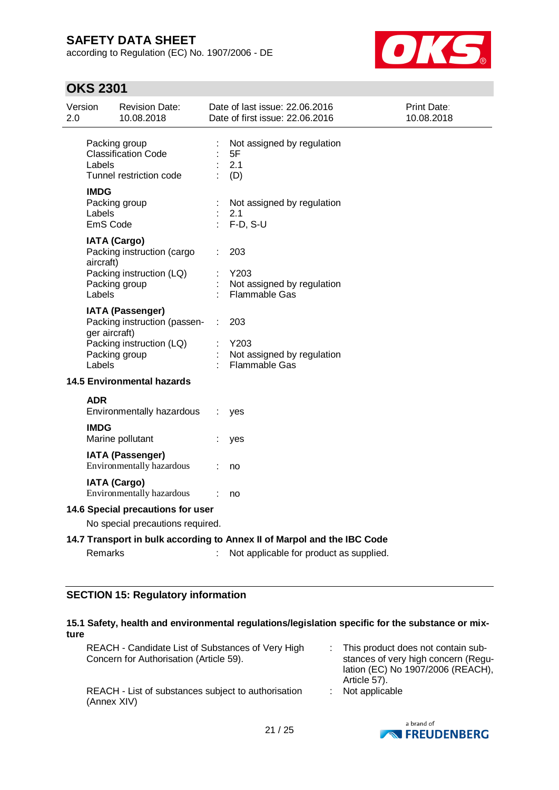according to Regulation (EC) No. 1907/2006 - DE



## **OKS 2301**

| Version<br>2.0                                                        |                                                                         | <b>Revision Date:</b><br>10.08.2018                                                                  |    | Date of last issue: 22.06.2016<br>Date of first issue: 22.06.2016 | <b>Print Date:</b><br>10.08.2018 |  |  |
|-----------------------------------------------------------------------|-------------------------------------------------------------------------|------------------------------------------------------------------------------------------------------|----|-------------------------------------------------------------------|----------------------------------|--|--|
|                                                                       | Labels                                                                  | Packing group<br><b>Classification Code</b><br>Tunnel restriction code                               |    | Not assigned by regulation<br>5F<br>2.1<br>(D)                    |                                  |  |  |
|                                                                       | <b>IMDG</b><br>Labels<br>EmS Code                                       | Packing group                                                                                        |    | Not assigned by regulation<br>2.1<br>$F-D, S-U$                   |                                  |  |  |
|                                                                       | aircraft)<br>Labels                                                     | <b>IATA (Cargo)</b><br>Packing instruction (cargo<br>Packing instruction (LQ)<br>Packing group       |    | 203<br>Y203<br>Not assigned by regulation<br>Flammable Gas        |                                  |  |  |
|                                                                       | ger aircraft)<br>Labels                                                 | <b>IATA (Passenger)</b><br>Packing instruction (passen-<br>Packing instruction (LQ)<br>Packing group | ÷. | 203<br>Y203<br>Not assigned by regulation<br><b>Flammable Gas</b> |                                  |  |  |
|                                                                       |                                                                         | <b>14.5 Environmental hazards</b>                                                                    |    |                                                                   |                                  |  |  |
|                                                                       | <b>ADR</b>                                                              | Environmentally hazardous                                                                            |    | yes                                                               |                                  |  |  |
|                                                                       | <b>IMDG</b>                                                             | Marine pollutant                                                                                     |    | yes                                                               |                                  |  |  |
|                                                                       |                                                                         | IATA (Passenger)<br>Environmentally hazardous                                                        |    | no                                                                |                                  |  |  |
|                                                                       |                                                                         | <b>IATA (Cargo)</b><br>Environmentally hazardous                                                     | ÷  | no                                                                |                                  |  |  |
| 14.6 Special precautions for user<br>No special precautions required. |                                                                         |                                                                                                      |    |                                                                   |                                  |  |  |
|                                                                       | 14.7 Transport in bulk according to Annex II of Marpol and the IBC Code |                                                                                                      |    |                                                                   |                                  |  |  |
|                                                                       | <b>Remarks</b>                                                          |                                                                                                      |    | Not applicable for product as supplied.                           |                                  |  |  |

## **SECTION 15: Regulatory information**

## **15.1 Safety, health and environmental regulations/legislation specific for the substance or mixture**

| REACH - Candidate List of Substances of Very High<br>Concern for Authorisation (Article 59). | : This product does not contain sub-<br>stances of very high concern (Regu-<br>lation (EC) No 1907/2006 (REACH),<br>Article 57). |
|----------------------------------------------------------------------------------------------|----------------------------------------------------------------------------------------------------------------------------------|
| REACH - List of substances subject to authorisation<br>(Annex XIV)                           | $:$ Not applicable                                                                                                               |

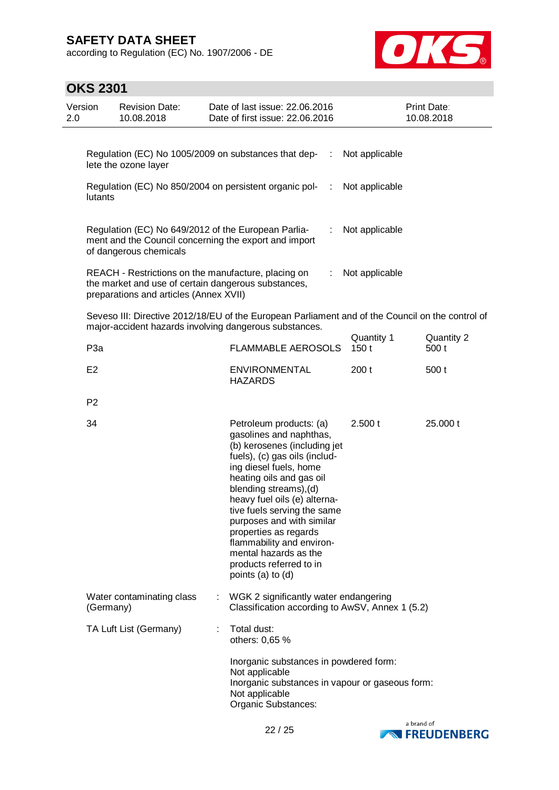according to Regulation (EC) No. 1907/2006 - DE



| Version<br>2.0 |                  | <b>Revision Date:</b><br>10.08.2018                                                                                                                  | Date of last issue: 22.06.2016<br>Date of first issue: 22.06.2016                                                                                                                                                                                                                                                                                                                                                              | Print Date:<br>10.08.2018 |                    |  |                     |
|----------------|------------------|------------------------------------------------------------------------------------------------------------------------------------------------------|--------------------------------------------------------------------------------------------------------------------------------------------------------------------------------------------------------------------------------------------------------------------------------------------------------------------------------------------------------------------------------------------------------------------------------|---------------------------|--------------------|--|---------------------|
|                |                  | lete the ozone layer                                                                                                                                 | Regulation (EC) No 1005/2009 on substances that dep-<br>- 11                                                                                                                                                                                                                                                                                                                                                                   |                           | Not applicable     |  |                     |
|                | lutants          |                                                                                                                                                      | Regulation (EC) No 850/2004 on persistent organic pol-<br>$\sim 100$                                                                                                                                                                                                                                                                                                                                                           |                           | Not applicable     |  |                     |
|                |                  | Regulation (EC) No 649/2012 of the European Parlia-<br>of dangerous chemicals                                                                        | ÷.<br>ment and the Council concerning the export and import                                                                                                                                                                                                                                                                                                                                                                    |                           | Not applicable     |  |                     |
|                |                  | REACH - Restrictions on the manufacture, placing on<br>the market and use of certain dangerous substances,<br>preparations and articles (Annex XVII) |                                                                                                                                                                                                                                                                                                                                                                                                                                |                           | Not applicable     |  |                     |
|                |                  |                                                                                                                                                      | Seveso III: Directive 2012/18/EU of the European Parliament and of the Council on the control of<br>major-accident hazards involving dangerous substances.                                                                                                                                                                                                                                                                     |                           |                    |  |                     |
|                | P <sub>3</sub> a |                                                                                                                                                      | <b>FLAMMABLE AEROSOLS</b>                                                                                                                                                                                                                                                                                                                                                                                                      |                           | Quantity 1<br>150t |  | Quantity 2<br>500 t |
|                | E <sub>2</sub>   |                                                                                                                                                      | <b>ENVIRONMENTAL</b><br><b>HAZARDS</b>                                                                                                                                                                                                                                                                                                                                                                                         |                           | 200t               |  | 500t                |
|                | P <sub>2</sub>   |                                                                                                                                                      |                                                                                                                                                                                                                                                                                                                                                                                                                                |                           |                    |  |                     |
|                | 34               |                                                                                                                                                      | Petroleum products: (a)<br>gasolines and naphthas,<br>(b) kerosenes (including jet<br>fuels), (c) gas oils (includ-<br>ing diesel fuels, home<br>heating oils and gas oil<br>blending streams), (d)<br>heavy fuel oils (e) alterna-<br>tive fuels serving the same<br>purposes and with similar<br>properties as regards<br>flammability and environ-<br>mental hazards as the<br>products referred to in<br>points (a) to (d) |                           | 2.500 t            |  | 25.000 t            |
|                | (Germany)        | Water contaminating class                                                                                                                            | WGK 2 significantly water endangering<br>Classification according to AwSV, Annex 1 (5.2)                                                                                                                                                                                                                                                                                                                                       |                           |                    |  |                     |
|                |                  | TA Luft List (Germany)                                                                                                                               | Total dust:<br>others: 0,65 %                                                                                                                                                                                                                                                                                                                                                                                                  |                           |                    |  |                     |
|                |                  |                                                                                                                                                      | Inorganic substances in powdered form:<br>Not applicable<br>Inorganic substances in vapour or gaseous form:<br>Not applicable<br>Organic Substances:                                                                                                                                                                                                                                                                           |                           |                    |  |                     |

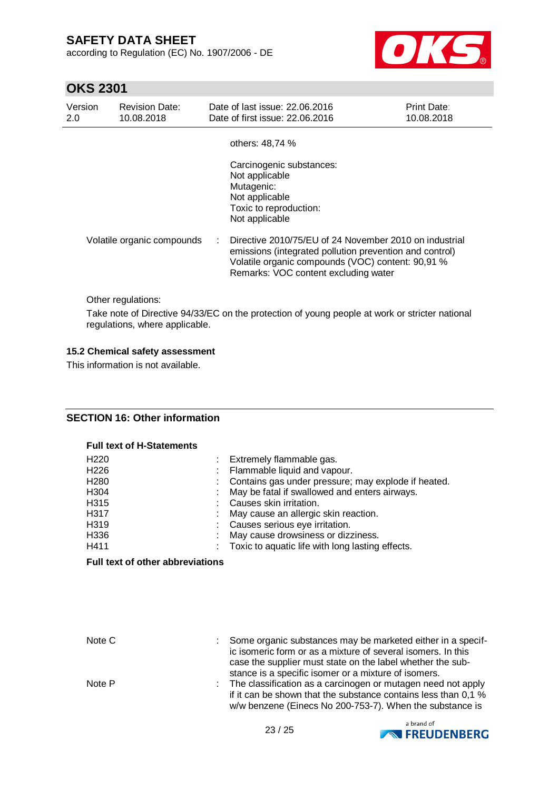according to Regulation (EC) No. 1907/2006 - DE



# **OKS 2301**

| Version<br>2.0             | <b>Revision Date:</b><br>10.08.2018 | Date of last issue: 22.06.2016<br>Date of first issue: 22.06.2016                                                                                                                                              | Print Date:<br>10.08.2018 |
|----------------------------|-------------------------------------|----------------------------------------------------------------------------------------------------------------------------------------------------------------------------------------------------------------|---------------------------|
|                            |                                     | others: 48,74 %                                                                                                                                                                                                |                           |
|                            |                                     | Carcinogenic substances:<br>Not applicable<br>Mutagenic:<br>Not applicable<br>Toxic to reproduction:<br>Not applicable                                                                                         |                           |
| Volatile organic compounds |                                     | Directive 2010/75/EU of 24 November 2010 on industrial<br>emissions (integrated pollution prevention and control)<br>Volatile organic compounds (VOC) content: 90,91 %<br>Remarks: VOC content excluding water |                           |

Other regulations:

Take note of Directive 94/33/EC on the protection of young people at work or stricter national regulations, where applicable.

### **15.2 Chemical safety assessment**

This information is not available.

## **SECTION 16: Other information**

#### **Full text of H-Statements**

| H <sub>220</sub> | : Extremely flammable gas.                            |
|------------------|-------------------------------------------------------|
| H <sub>226</sub> | : Flammable liquid and vapour.                        |
| H <sub>280</sub> | : Contains gas under pressure; may explode if heated. |
| H <sub>304</sub> | May be fatal if swallowed and enters airways.         |
| H315             | Causes skin irritation.                               |
| H317             | : May cause an allergic skin reaction.                |
| H319             | : Causes serious eye irritation.                      |
| H336             | May cause drowsiness or dizziness.                    |
| H411             | Toxic to aquatic life with long lasting effects.      |

### **Full text of other abbreviations**

| Note C | t in | Some organic substances may be marketed either in a specif-<br>ic isomeric form or as a mixture of several isomers. In this<br>case the supplier must state on the label whether the sub-<br>stance is a specific isomer or a mixture of isomers. |
|--------|------|---------------------------------------------------------------------------------------------------------------------------------------------------------------------------------------------------------------------------------------------------|
| Note P |      | : The classification as a carcinogen or mutagen need not apply<br>if it can be shown that the substance contains less than 0.1 %                                                                                                                  |
|        |      | w/w benzene (Einecs No 200-753-7). When the substance is                                                                                                                                                                                          |

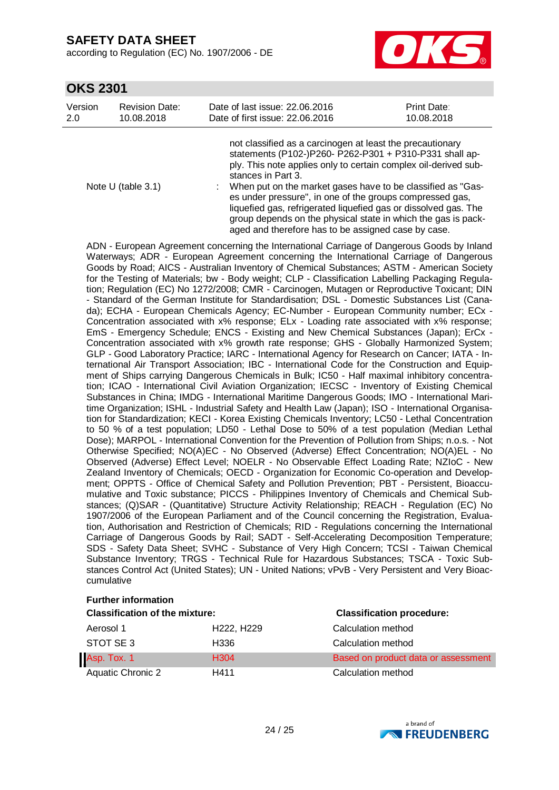according to Regulation (EC) No. 1907/2006 - DE



## **OKS 2301**

| Version | <b>Revision Date:</b> | Date of last issue: 22.06.2016                                                                                                                                                                                | Print Date: |
|---------|-----------------------|---------------------------------------------------------------------------------------------------------------------------------------------------------------------------------------------------------------|-------------|
| 2.0     | 10.08.2018            | Date of first issue: 22.06.2016                                                                                                                                                                               | 10.08.2018  |
|         |                       | not classified as a carcinogen at least the precautionary<br>statements (P102-)P260- P262-P301 + P310-P331 shall ap-<br>ply. This note applies only to certain complex oil-derived sub-<br>stances in Part 3. |             |

Note U (table 3.1) : When put on the market gases have to be classified as "Gases under pressure", in one of the groups compressed gas, liquefied gas, refrigerated liquefied gas or dissolved gas. The group depends on the physical state in which the gas is packaged and therefore has to be assigned case by case.

ADN - European Agreement concerning the International Carriage of Dangerous Goods by Inland Waterways; ADR - European Agreement concerning the International Carriage of Dangerous Goods by Road; AICS - Australian Inventory of Chemical Substances; ASTM - American Society for the Testing of Materials; bw - Body weight; CLP - Classification Labelling Packaging Regulation; Regulation (EC) No 1272/2008; CMR - Carcinogen, Mutagen or Reproductive Toxicant; DIN - Standard of the German Institute for Standardisation; DSL - Domestic Substances List (Canada); ECHA - European Chemicals Agency; EC-Number - European Community number; ECx - Concentration associated with x% response; ELx - Loading rate associated with x% response; EmS - Emergency Schedule; ENCS - Existing and New Chemical Substances (Japan); ErCx - Concentration associated with x% growth rate response; GHS - Globally Harmonized System; GLP - Good Laboratory Practice; IARC - International Agency for Research on Cancer; IATA - International Air Transport Association; IBC - International Code for the Construction and Equipment of Ships carrying Dangerous Chemicals in Bulk; IC50 - Half maximal inhibitory concentration; ICAO - International Civil Aviation Organization; IECSC - Inventory of Existing Chemical Substances in China; IMDG - International Maritime Dangerous Goods; IMO - International Maritime Organization; ISHL - Industrial Safety and Health Law (Japan); ISO - International Organisation for Standardization; KECI - Korea Existing Chemicals Inventory; LC50 - Lethal Concentration to 50 % of a test population; LD50 - Lethal Dose to 50% of a test population (Median Lethal Dose); MARPOL - International Convention for the Prevention of Pollution from Ships; n.o.s. - Not Otherwise Specified; NO(A)EC - No Observed (Adverse) Effect Concentration; NO(A)EL - No Observed (Adverse) Effect Level; NOELR - No Observable Effect Loading Rate; NZIoC - New Zealand Inventory of Chemicals; OECD - Organization for Economic Co-operation and Development; OPPTS - Office of Chemical Safety and Pollution Prevention; PBT - Persistent, Bioaccumulative and Toxic substance; PICCS - Philippines Inventory of Chemicals and Chemical Substances; (Q)SAR - (Quantitative) Structure Activity Relationship; REACH - Regulation (EC) No 1907/2006 of the European Parliament and of the Council concerning the Registration, Evaluation, Authorisation and Restriction of Chemicals; RID - Regulations concerning the International Carriage of Dangerous Goods by Rail; SADT - Self-Accelerating Decomposition Temperature; SDS - Safety Data Sheet; SVHC - Substance of Very High Concern; TCSI - Taiwan Chemical Substance Inventory; TRGS - Technical Rule for Hazardous Substances; TSCA - Toxic Substances Control Act (United States); UN - United Nations; vPvB - Very Persistent and Very Bioaccumulative

## **Further information**

| <b>Classification of the mixture:</b> | <b>Classification procedure:</b>    |                                     |
|---------------------------------------|-------------------------------------|-------------------------------------|
| Aerosol 1                             | H <sub>222</sub> , H <sub>229</sub> | Calculation method                  |
| STOT SE 3                             | H336                                | Calculation method                  |
| Asp. Tox. 1                           | H <sub>304</sub>                    | Based on product data or assessment |
| <b>Aquatic Chronic 2</b>              | H411                                | Calculation method                  |